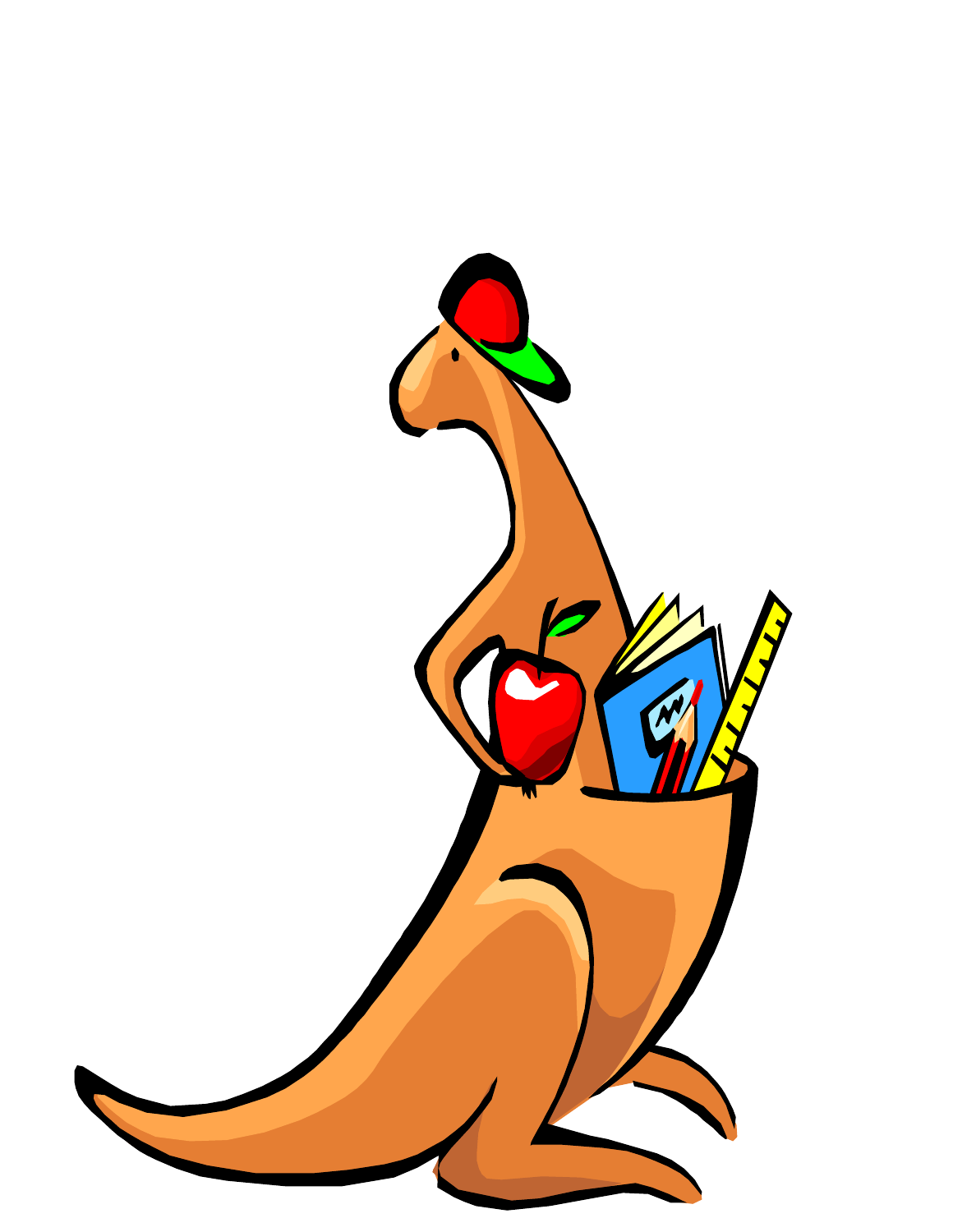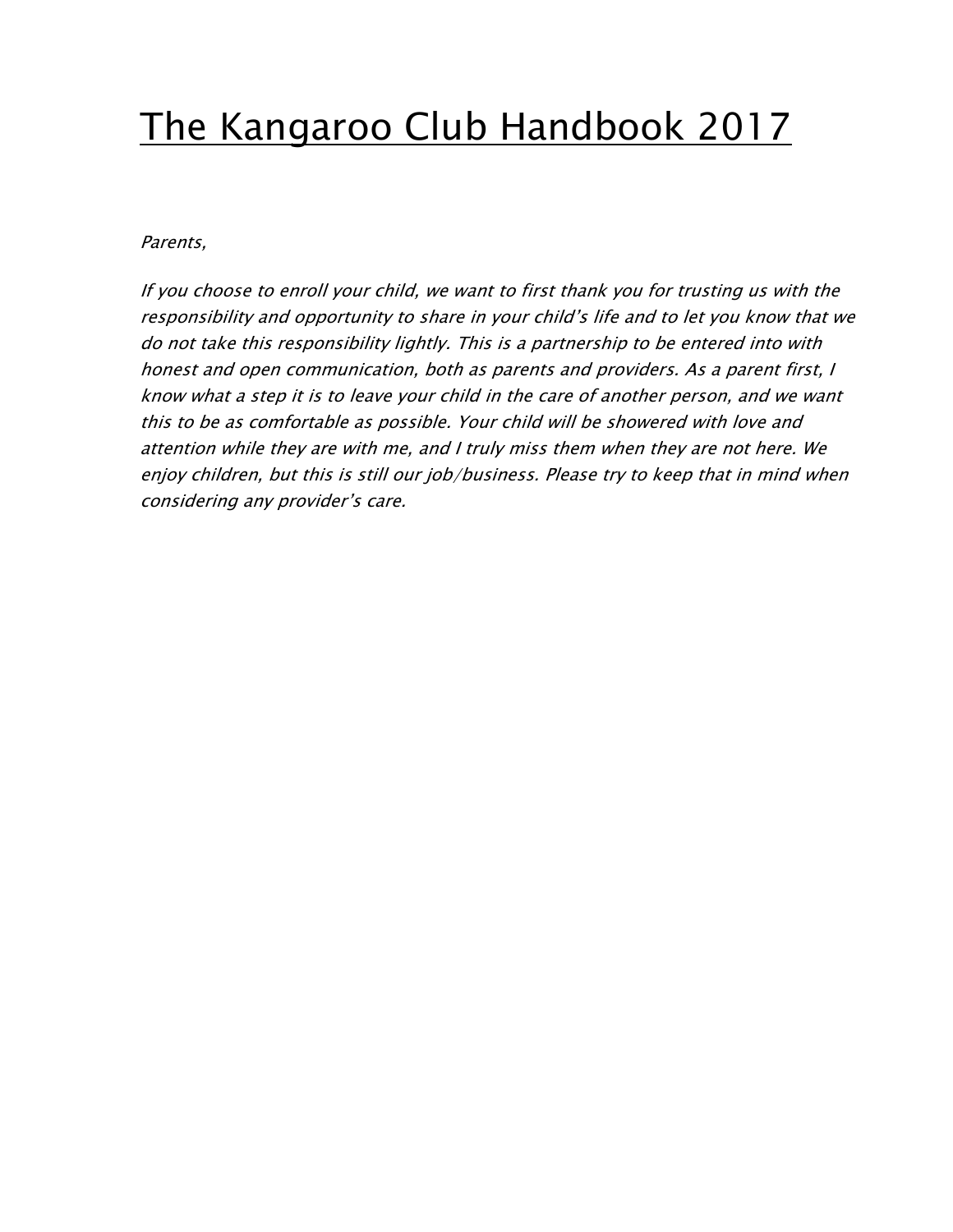# The Kangaroo Club Handbook 2017

#### Parents,

If you choose to enroll your child, we want to first thank you for trusting us with the responsibility and opportunity to share in your child's life and to let you know that we do not take this responsibility lightly. This is a partnership to be entered into with honest and open communication, both as parents and providers. As a parent first, I know what a step it is to leave your child in the care of another person, and we want this to be as comfortable as possible. Your child will be showered with love and attention while they are with me, and I truly miss them when they are not here. We enjoy children, but this is still our job/business. Please try to keep that in mind when considering any provider's care.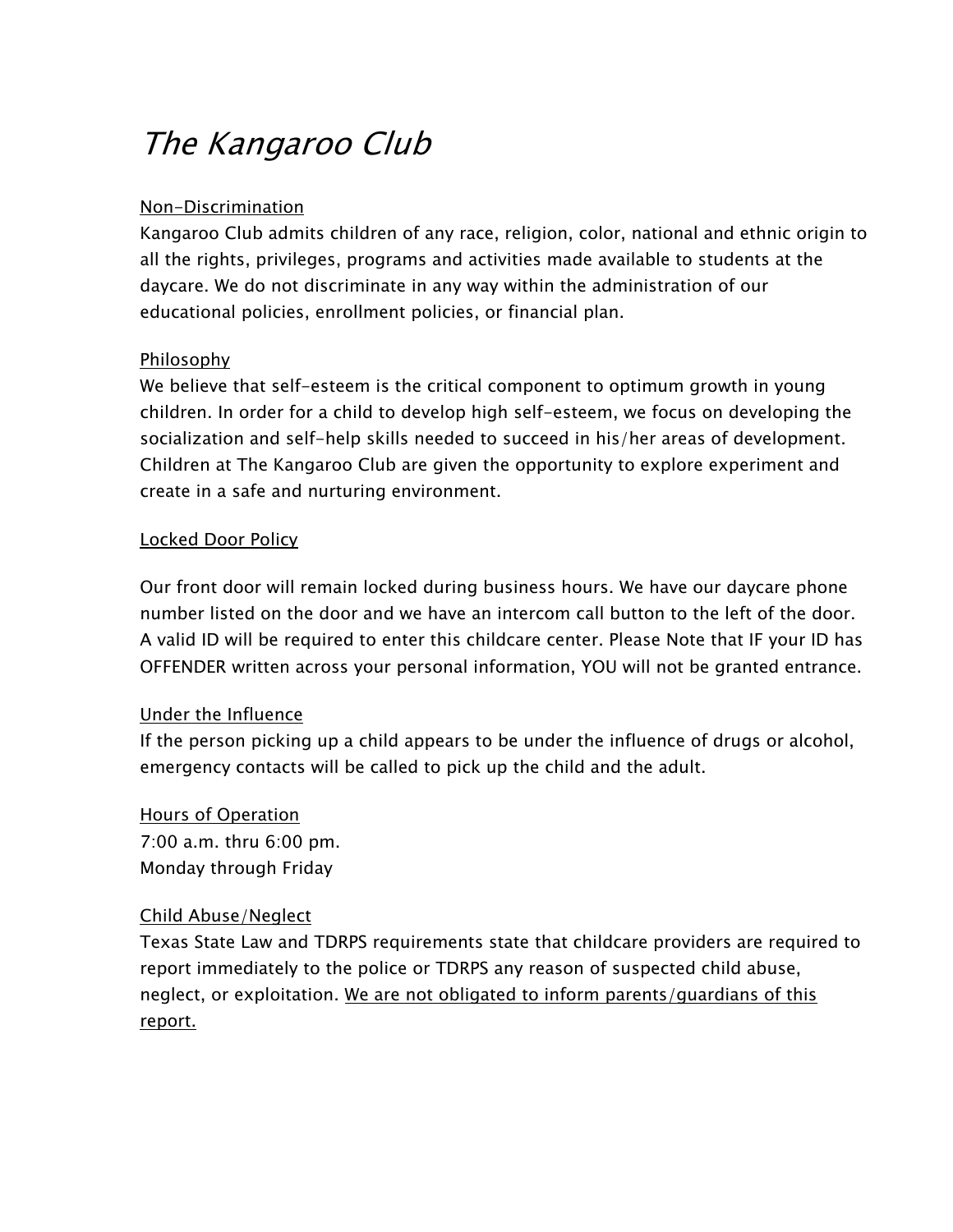# The Kangaroo Club

#### Non-Discrimination

Kangaroo Club admits children of any race, religion, color, national and ethnic origin to all the rights, privileges, programs and activities made available to students at the daycare. We do not discriminate in any way within the administration of our educational policies, enrollment policies, or financial plan.

#### Philosophy

We believe that self-esteem is the critical component to optimum growth in young children. In order for a child to develop high self-esteem, we focus on developing the socialization and self-help skills needed to succeed in his/her areas of development. Children at The Kangaroo Club are given the opportunity to explore experiment and create in a safe and nurturing environment.

#### Locked Door Policy

Our front door will remain locked during business hours. We have our daycare phone number listed on the door and we have an intercom call button to the left of the door. A valid ID will be required to enter this childcare center. Please Note that IF your ID has OFFENDER written across your personal information, YOU will not be granted entrance.

#### Under the Influence

If the person picking up a child appears to be under the influence of drugs or alcohol, emergency contacts will be called to pick up the child and the adult.

#### Hours of Operation

7:00 a.m. thru 6:00 pm. Monday through Friday

#### Child Abuse/Neglect

Texas State Law and TDRPS requirements state that childcare providers are required to report immediately to the police or TDRPS any reason of suspected child abuse, neglect, or exploitation. We are not obligated to inform parents/quardians of this report.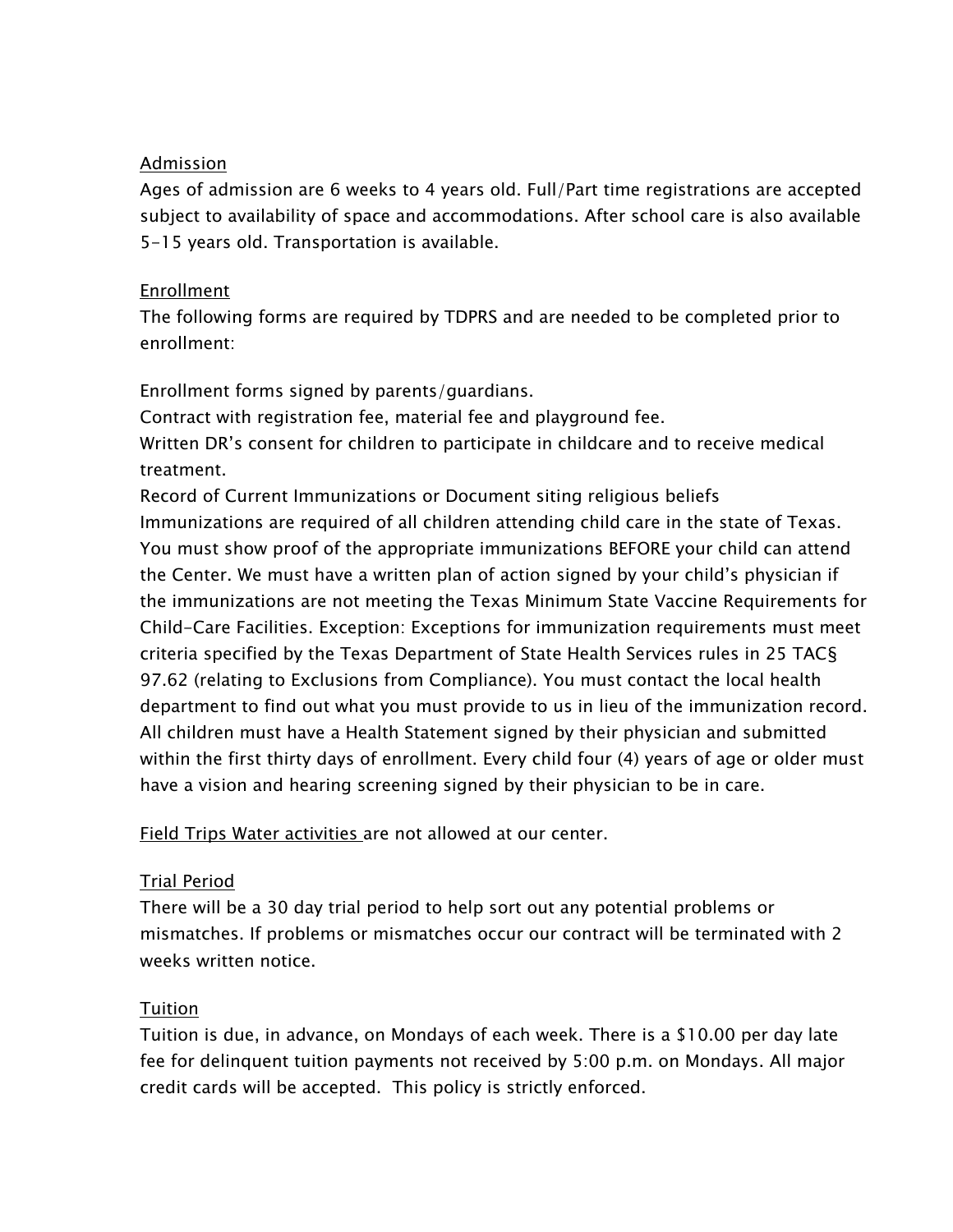#### Admission

Ages of admission are 6 weeks to 4 years old. Full/Part time registrations are accepted subject to availability of space and accommodations. After school care is also available 5-15 years old. Transportation is available.

#### Enrollment

The following forms are required by TDPRS and are needed to be completed prior to enrollment:

Enrollment forms signed by parents/guardians.

Contract with registration fee, material fee and playground fee.

Written DR's consent for children to participate in childcare and to receive medical treatment.

Record of Current Immunizations or Document siting religious beliefs Immunizations are required of all children attending child care in the state of Texas. You must show proof of the appropriate immunizations BEFORE your child can attend the Center. We must have a written plan of action signed by your child's physician if the immunizations are not meeting the Texas Minimum State Vaccine Requirements for Child-Care Facilities. Exception: Exceptions for immunization requirements must meet criteria specified by the Texas Department of State Health Services rules in 25 TAC§ 97.62 (relating to Exclusions from Compliance). You must contact the local health department to find out what you must provide to us in lieu of the immunization record. All children must have a Health Statement signed by their physician and submitted within the first thirty days of enrollment. Every child four (4) years of age or older must have a vision and hearing screening signed by their physician to be in care.

Field Trips Water activities are not allowed at our center.

#### Trial Period

There will be a 30 day trial period to help sort out any potential problems or mismatches. If problems or mismatches occur our contract will be terminated with 2 weeks written notice.

#### Tuition

Tuition is due, in advance, on Mondays of each week. There is a \$10.00 per day late fee for delinquent tuition payments not received by 5:00 p.m. on Mondays. All major credit cards will be accepted. This policy is strictly enforced.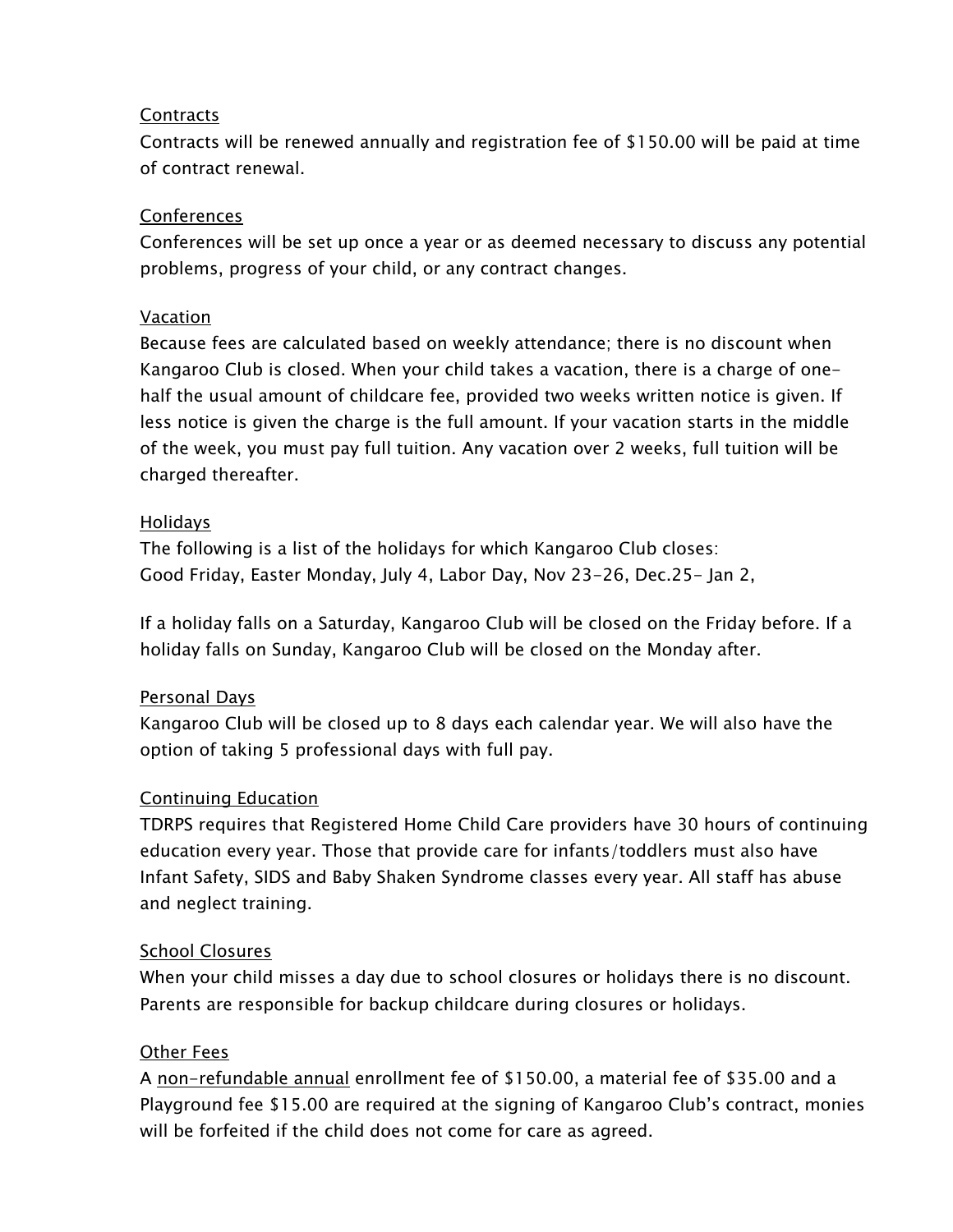#### **Contracts**

Contracts will be renewed annually and registration fee of \$150.00 will be paid at time of contract renewal.

#### **Conferences**

Conferences will be set up once a year or as deemed necessary to discuss any potential problems, progress of your child, or any contract changes.

#### Vacation

Because fees are calculated based on weekly attendance; there is no discount when Kangaroo Club is closed. When your child takes a vacation, there is a charge of onehalf the usual amount of childcare fee, provided two weeks written notice is given. If less notice is given the charge is the full amount. If your vacation starts in the middle of the week, you must pay full tuition. Any vacation over 2 weeks, full tuition will be charged thereafter.

#### **Holidays**

The following is a list of the holidays for which Kangaroo Club closes: Good Friday, Easter Monday, July 4, Labor Day, Nov 23-26, Dec.25- Jan 2,

If a holiday falls on a Saturday, Kangaroo Club will be closed on the Friday before. If a holiday falls on Sunday, Kangaroo Club will be closed on the Monday after.

#### Personal Days

Kangaroo Club will be closed up to 8 days each calendar year. We will also have the option of taking 5 professional days with full pay.

#### Continuing Education

TDRPS requires that Registered Home Child Care providers have 30 hours of continuing education every year. Those that provide care for infants/toddlers must also have Infant Safety, SIDS and Baby Shaken Syndrome classes every year. All staff has abuse and neglect training.

#### School Closures

When your child misses a day due to school closures or holidays there is no discount. Parents are responsible for backup childcare during closures or holidays.

#### Other Fees

A non-refundable annual enrollment fee of \$150.00, a material fee of \$35.00 and a Playground fee \$15.00 are required at the signing of Kangaroo Club's contract, monies will be forfeited if the child does not come for care as agreed.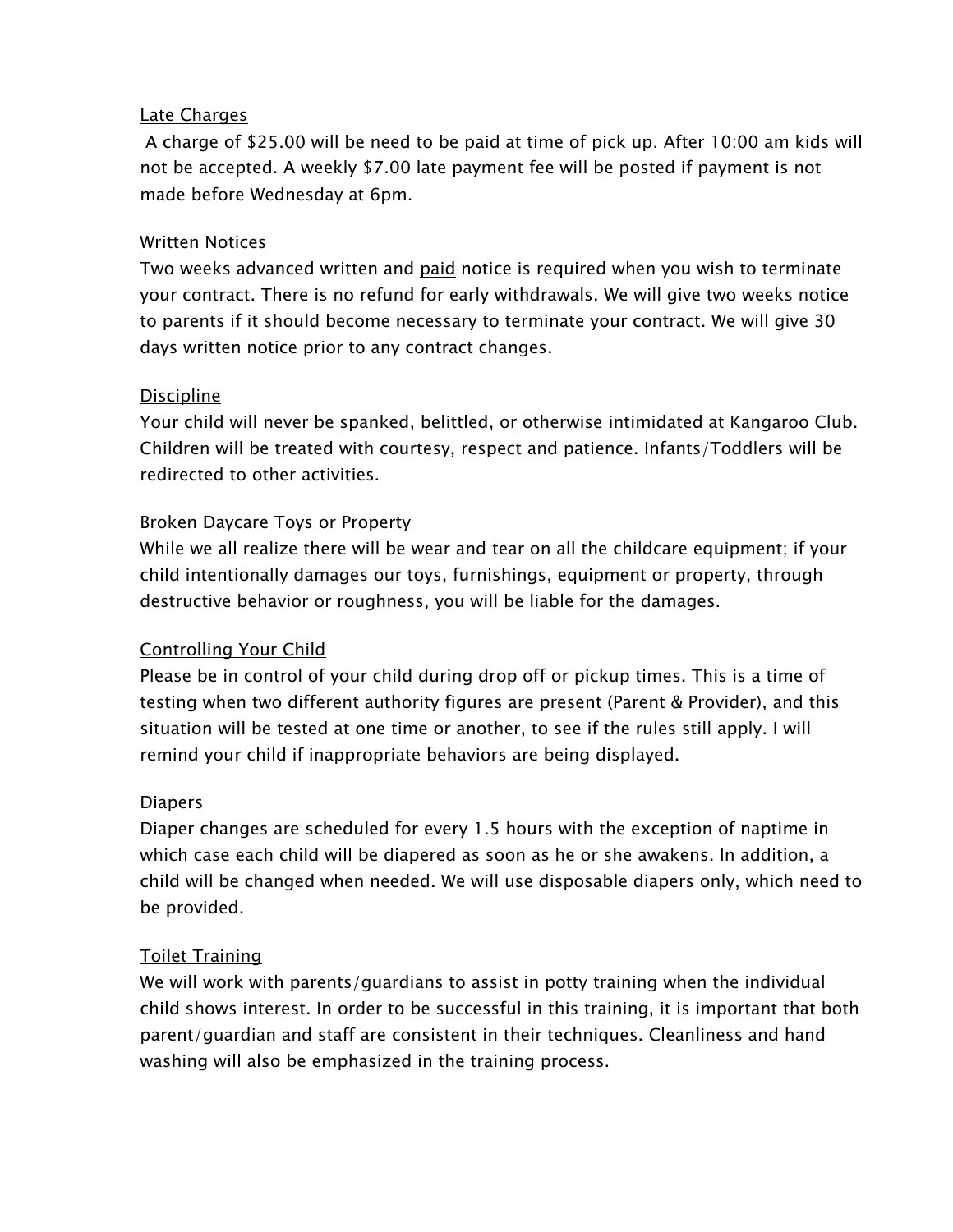#### Late Charges

 A charge of \$25.00 will be need to be paid at time of pick up. After 10:00 am kids will not be accepted. A weekly \$7.00 late payment fee will be posted if payment is not made before Wednesday at 6pm.

#### Written Notices

Two weeks advanced written and paid notice is required when you wish to terminate your contract. There is no refund for early withdrawals. We will give two weeks notice to parents if it should become necessary to terminate your contract. We will give 30 days written notice prior to any contract changes.

#### Discipline

Your child will never be spanked, belittled, or otherwise intimidated at Kangaroo Club. Children will be treated with courtesy, respect and patience. Infants/Toddlers will be redirected to other activities.

#### Broken Daycare Toys or Property

While we all realize there will be wear and tear on all the childcare equipment; if your child intentionally damages our toys, furnishings, equipment or property, through destructive behavior or roughness, you will be liable for the damages.

#### Controlling Your Child

Please be in control of your child during drop off or pickup times. This is a time of testing when two different authority figures are present (Parent & Provider), and this situation will be tested at one time or another, to see if the rules still apply. I will remind your child if inappropriate behaviors are being displayed.

#### Diapers

Diaper changes are scheduled for every 1.5 hours with the exception of naptime in which case each child will be diapered as soon as he or she awakens. In addition, a child will be changed when needed. We will use disposable diapers only, which need to be provided.

#### Toilet Training

We will work with parents/guardians to assist in potty training when the individual child shows interest. In order to be successful in this training, it is important that both parent/guardian and staff are consistent in their techniques. Cleanliness and hand washing will also be emphasized in the training process.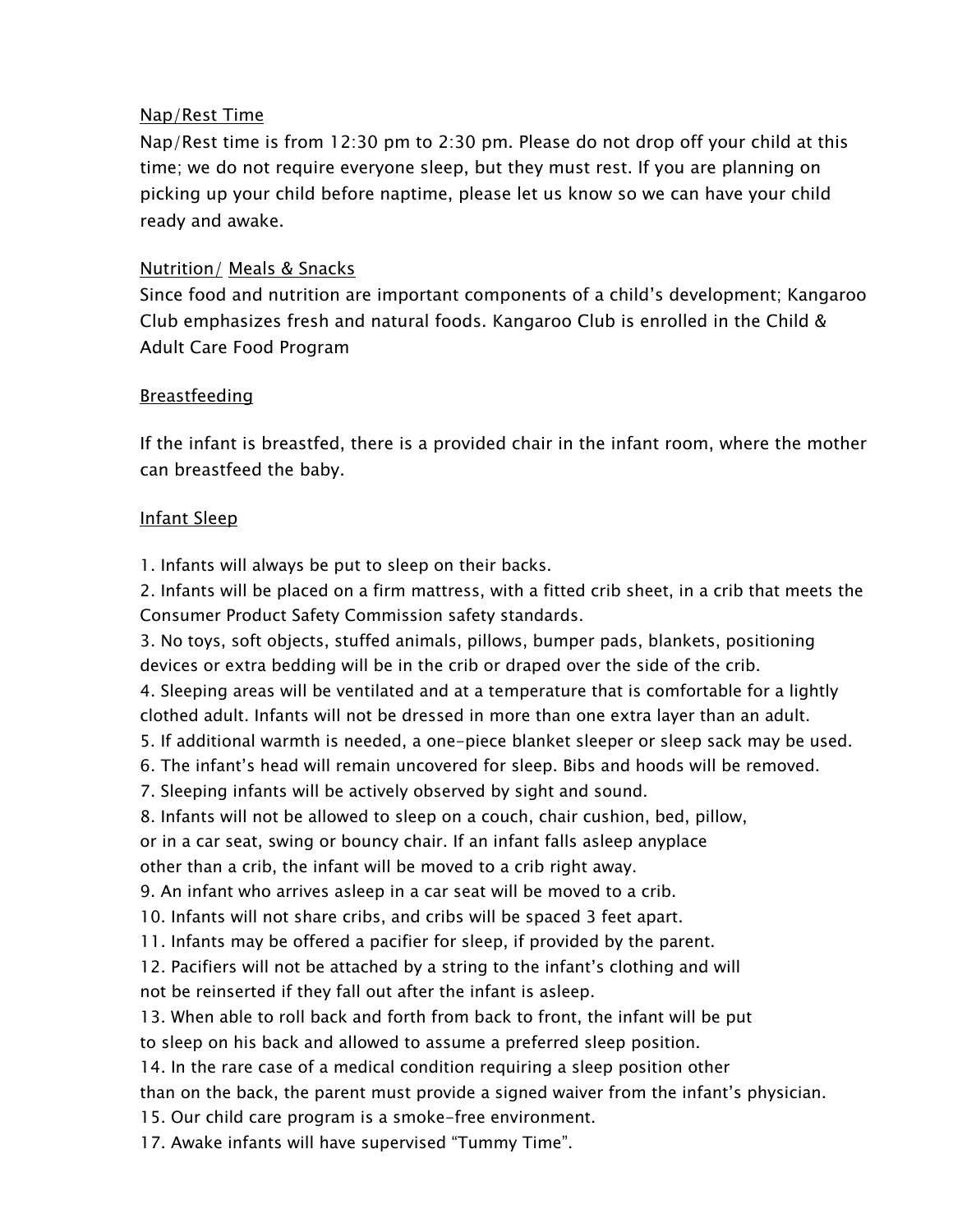#### Nap/Rest Time

Nap/Rest time is from 12:30 pm to 2:30 pm. Please do not drop off your child at this time; we do not require everyone sleep, but they must rest. If you are planning on picking up your child before naptime, please let us know so we can have your child ready and awake.

#### Nutrition/ Meals & Snacks

Since food and nutrition are important components of a child's development; Kangaroo Club emphasizes fresh and natural foods. Kangaroo Club is enrolled in the Child & Adult Care Food Program

#### **Breastfeeding**

If the infant is breastfed, there is a provided chair in the infant room, where the mother can breastfeed the baby.

#### Infant Sleep

1. Infants will always be put to sleep on their backs.

2. Infants will be placed on a firm mattress, with a fitted crib sheet, in a crib that meets the Consumer Product Safety Commission safety standards.

3. No toys, soft objects, stuffed animals, pillows, bumper pads, blankets, positioning devices or extra bedding will be in the crib or draped over the side of the crib.

4. Sleeping areas will be ventilated and at a temperature that is comfortable for a lightly clothed adult. Infants will not be dressed in more than one extra layer than an adult.

- 5. If additional warmth is needed, a one-piece blanket sleeper or sleep sack may be used.
- 6. The infant's head will remain uncovered for sleep. Bibs and hoods will be removed.

7. Sleeping infants will be actively observed by sight and sound.

8. Infants will not be allowed to sleep on a couch, chair cushion, bed, pillow,

or in a car seat, swing or bouncy chair. If an infant falls asleep anyplace

other than a crib, the infant will be moved to a crib right away.

9. An infant who arrives asleep in a car seat will be moved to a crib.

10. Infants will not share cribs, and cribs will be spaced 3 feet apart.

11. Infants may be offered a pacifier for sleep, if provided by the parent.

12. Pacifiers will not be attached by a string to the infant's clothing and will not be reinserted if they fall out after the infant is asleep.

13. When able to roll back and forth from back to front, the infant will be put to sleep on his back and allowed to assume a preferred sleep position.

14. In the rare case of a medical condition requiring a sleep position other

than on the back, the parent must provide a signed waiver from the infant's physician.

15. Our child care program is a smoke-free environment.

17. Awake infants will have supervised "Tummy Time".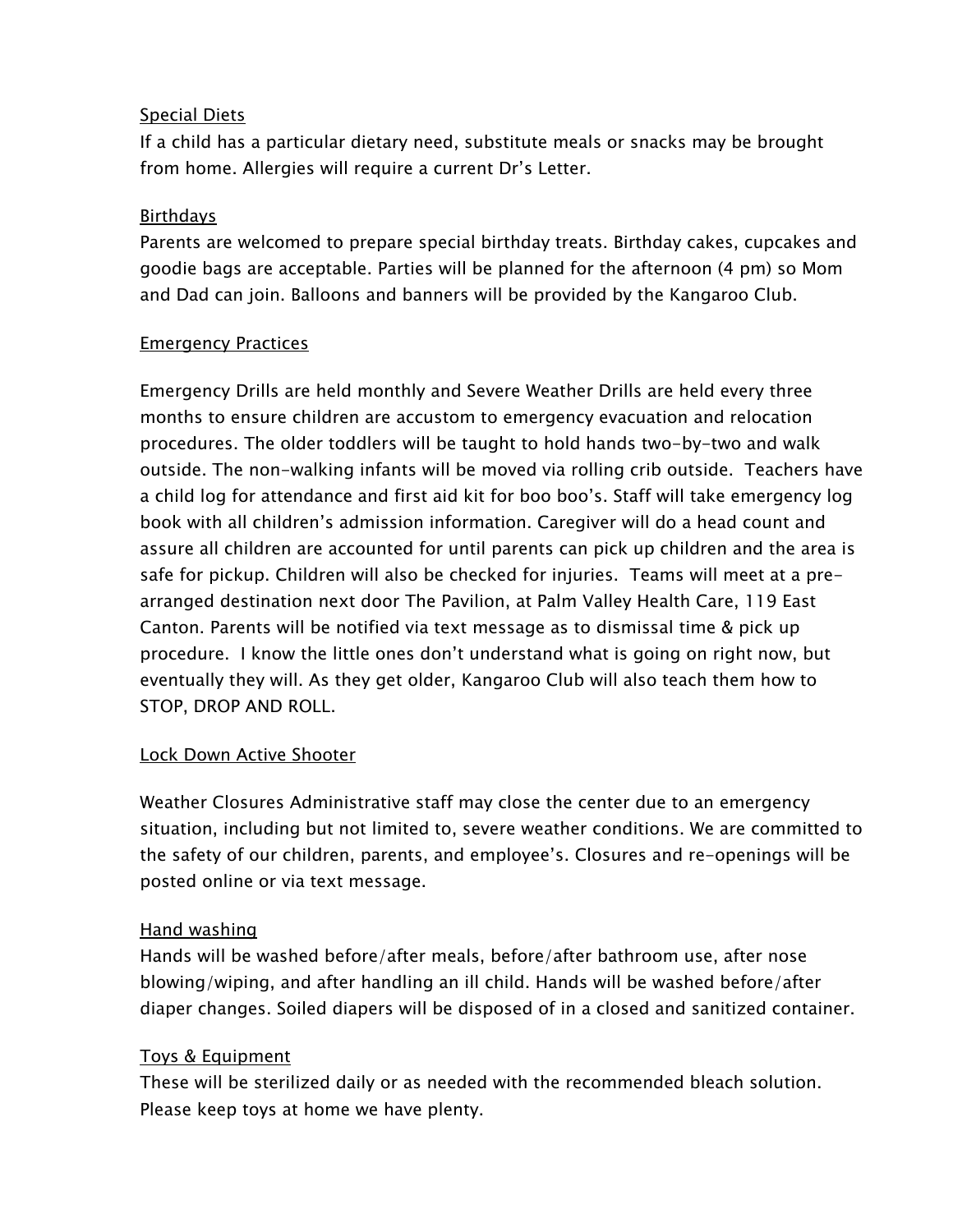#### Special Diets

If a child has a particular dietary need, substitute meals or snacks may be brought from home. Allergies will require a current Dr's Letter.

#### Birthdays

Parents are welcomed to prepare special birthday treats. Birthday cakes, cupcakes and goodie bags are acceptable. Parties will be planned for the afternoon (4 pm) so Mom and Dad can join. Balloons and banners will be provided by the Kangaroo Club.

#### Emergency Practices

Emergency Drills are held monthly and Severe Weather Drills are held every three months to ensure children are accustom to emergency evacuation and relocation procedures. The older toddlers will be taught to hold hands two-by-two and walk outside. The non-walking infants will be moved via rolling crib outside. Teachers have a child log for attendance and first aid kit for boo boo's. Staff will take emergency log book with all children's admission information. Caregiver will do a head count and assure all children are accounted for until parents can pick up children and the area is safe for pickup. Children will also be checked for injuries. Teams will meet at a prearranged destination next door The Pavilion, at Palm Valley Health Care, 119 East Canton. Parents will be notified via text message as to dismissal time & pick up procedure. I know the little ones don't understand what is going on right now, but eventually they will. As they get older, Kangaroo Club will also teach them how to STOP, DROP AND ROLL.

#### Lock Down Active Shooter

Weather Closures Administrative staff may close the center due to an emergency situation, including but not limited to, severe weather conditions. We are committed to the safety of our children, parents, and employee's. Closures and re-openings will be posted online or via text message.

#### Hand washing

Hands will be washed before/after meals, before/after bathroom use, after nose blowing/wiping, and after handling an ill child. Hands will be washed before/after diaper changes. Soiled diapers will be disposed of in a closed and sanitized container.

#### Toys & Equipment

These will be sterilized daily or as needed with the recommended bleach solution. Please keep toys at home we have plenty.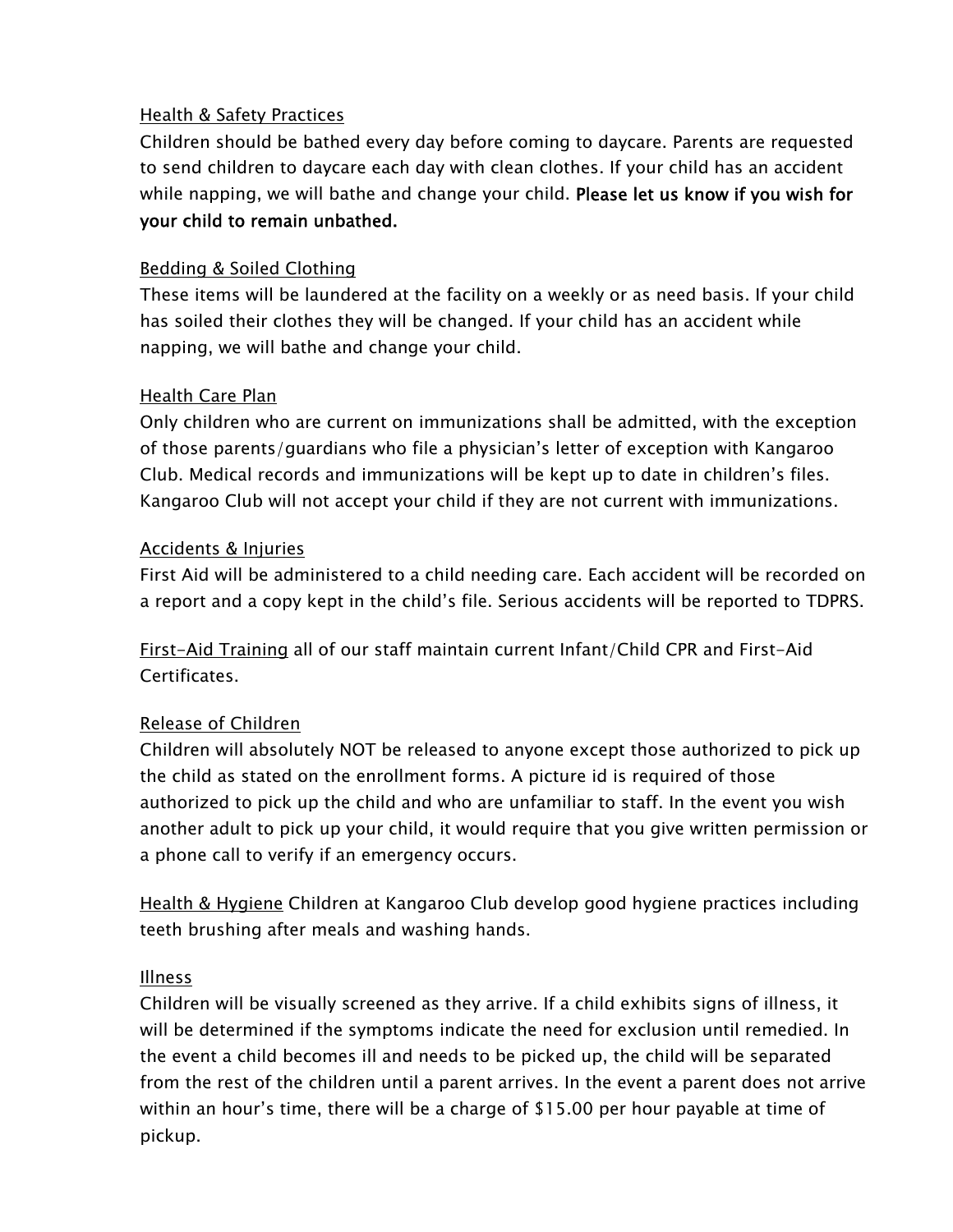#### Health & Safety Practices

Children should be bathed every day before coming to daycare. Parents are requested to send children to daycare each day with clean clothes. If your child has an accident while napping, we will bathe and change your child. Please let us know if you wish for your child to remain unbathed.

#### Bedding & Soiled Clothing

These items will be laundered at the facility on a weekly or as need basis. If your child has soiled their clothes they will be changed. If your child has an accident while napping, we will bathe and change your child.

#### Health Care Plan

Only children who are current on immunizations shall be admitted, with the exception of those parents/guardians who file a physician's letter of exception with Kangaroo Club. Medical records and immunizations will be kept up to date in children's files. Kangaroo Club will not accept your child if they are not current with immunizations.

#### Accidents & Injuries

First Aid will be administered to a child needing care. Each accident will be recorded on a report and a copy kept in the child's file. Serious accidents will be reported to TDPRS.

First-Aid Training all of our staff maintain current Infant/Child CPR and First-Aid Certificates.

#### Release of Children

Children will absolutely NOT be released to anyone except those authorized to pick up the child as stated on the enrollment forms. A picture id is required of those authorized to pick up the child and who are unfamiliar to staff. In the event you wish another adult to pick up your child, it would require that you give written permission or a phone call to verify if an emergency occurs.

Health & Hygiene Children at Kangaroo Club develop good hygiene practices including teeth brushing after meals and washing hands.

#### Illness

Children will be visually screened as they arrive. If a child exhibits signs of illness, it will be determined if the symptoms indicate the need for exclusion until remedied. In the event a child becomes ill and needs to be picked up, the child will be separated from the rest of the children until a parent arrives. In the event a parent does not arrive within an hour's time, there will be a charge of \$15.00 per hour payable at time of pickup.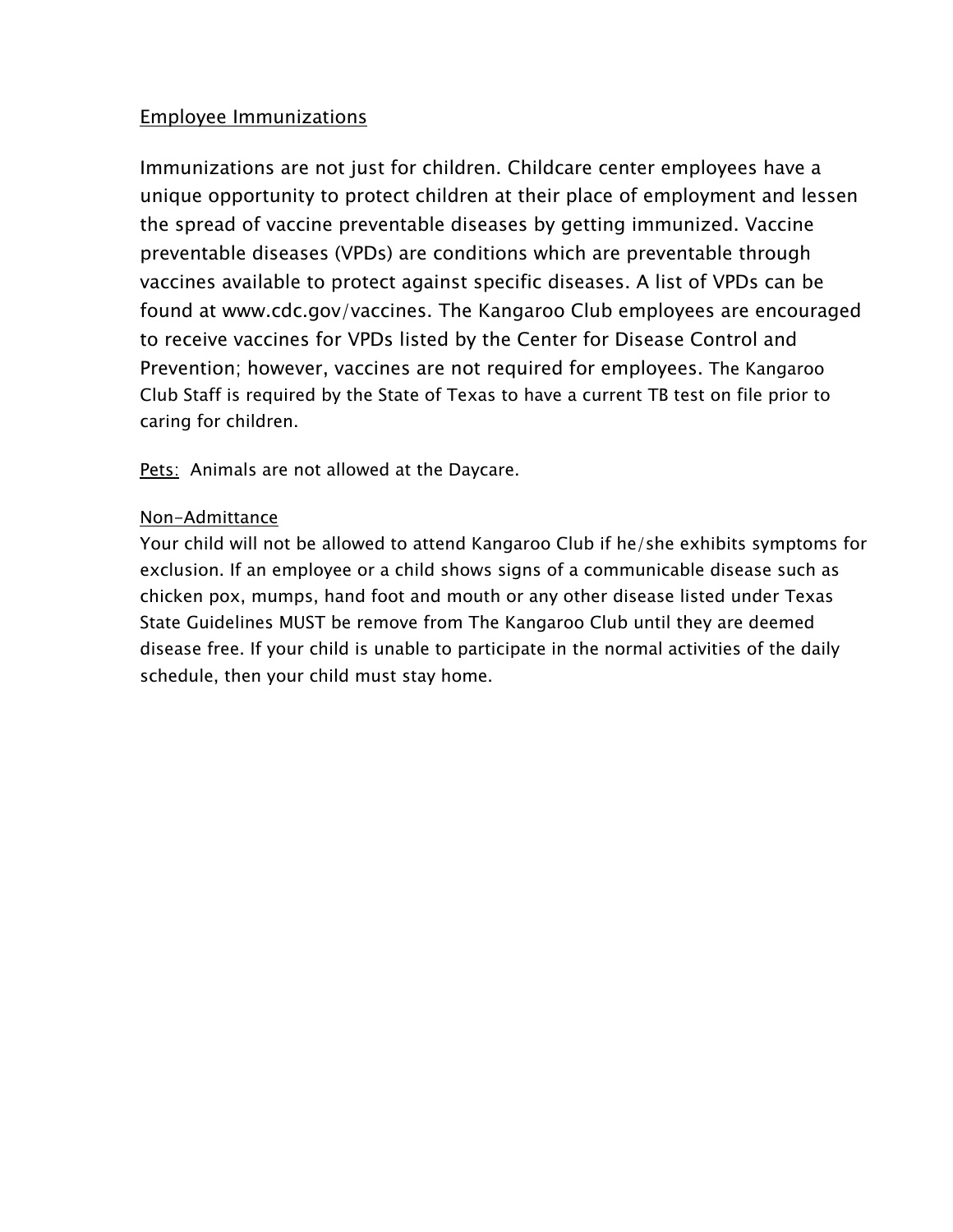#### Employee Immunizations

Immunizations are not just for children. Childcare center employees have a unique opportunity to protect children at their place of employment and lessen the spread of vaccine preventable diseases by getting immunized. Vaccine preventable diseases (VPDs) are conditions which are preventable through vaccines available to protect against specific diseases. A list of VPDs can be found at www.cdc.gov/vaccines. The Kangaroo Club employees are encouraged to receive vaccines for VPDs listed by the Center for Disease Control and Prevention; however, vaccines are not required for employees. The Kangaroo Club Staff is required by the State of Texas to have a current TB test on file prior to caring for children.

Pets: Animals are not allowed at the Daycare.

#### Non-Admittance

Your child will not be allowed to attend Kangaroo Club if he/she exhibits symptoms for exclusion. If an employee or a child shows signs of a communicable disease such as chicken pox, mumps, hand foot and mouth or any other disease listed under Texas State Guidelines MUST be remove from The Kangaroo Club until they are deemed disease free. If your child is unable to participate in the normal activities of the daily schedule, then your child must stay home.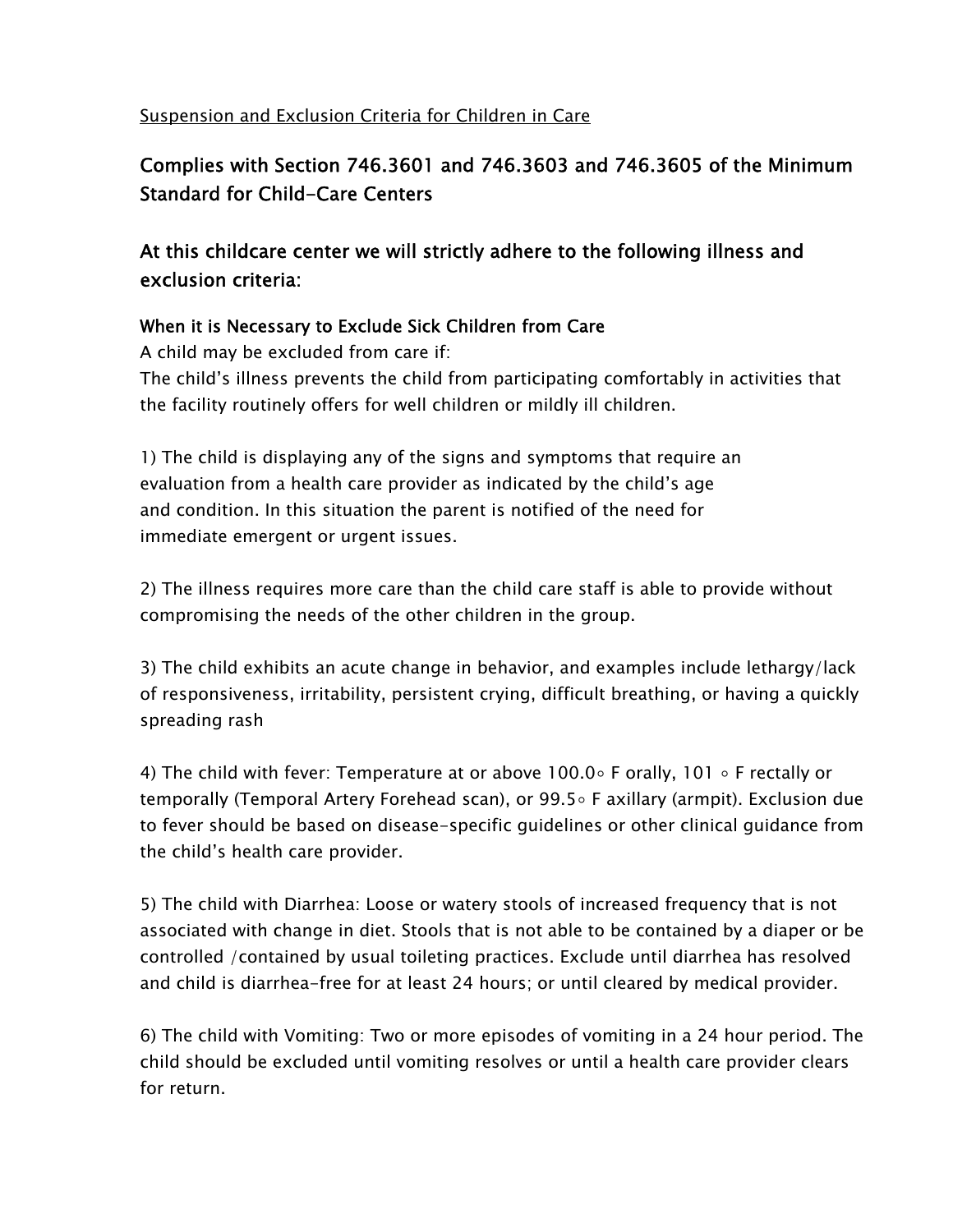#### Suspension and Exclusion Criteria for Children in Care

## Complies with Section 746.3601 and 746.3603 and 746.3605 of the Minimum Standard for Child-Care Centers

## At this childcare center we will strictly adhere to the following illness and exclusion criteria:

#### When it is Necessary to Exclude Sick Children from Care

A child may be excluded from care if: The child's illness prevents the child from participating comfortably in activities that the facility routinely offers for well children or mildly ill children.

1) The child is displaying any of the signs and symptoms that require an evaluation from a health care provider as indicated by the child's age and condition. In this situation the parent is notified of the need for immediate emergent or urgent issues.

2) The illness requires more care than the child care staff is able to provide without compromising the needs of the other children in the group.

3) The child exhibits an acute change in behavior, and examples include lethargy/lack of responsiveness, irritability, persistent crying, difficult breathing, or having a quickly spreading rash

4) The child with fever: Temperature at or above 100.0◦ F orally, 101 ◦ F rectally or temporally (Temporal Artery Forehead scan), or 99.5◦ F axillary (armpit). Exclusion due to fever should be based on disease-specific guidelines or other clinical guidance from the child's health care provider.

5) The child with Diarrhea: Loose or watery stools of increased frequency that is not associated with change in diet. Stools that is not able to be contained by a diaper or be controlled /contained by usual toileting practices. Exclude until diarrhea has resolved and child is diarrhea-free for at least 24 hours; or until cleared by medical provider.

6) The child with Vomiting: Two or more episodes of vomiting in a 24 hour period. The child should be excluded until vomiting resolves or until a health care provider clears for return.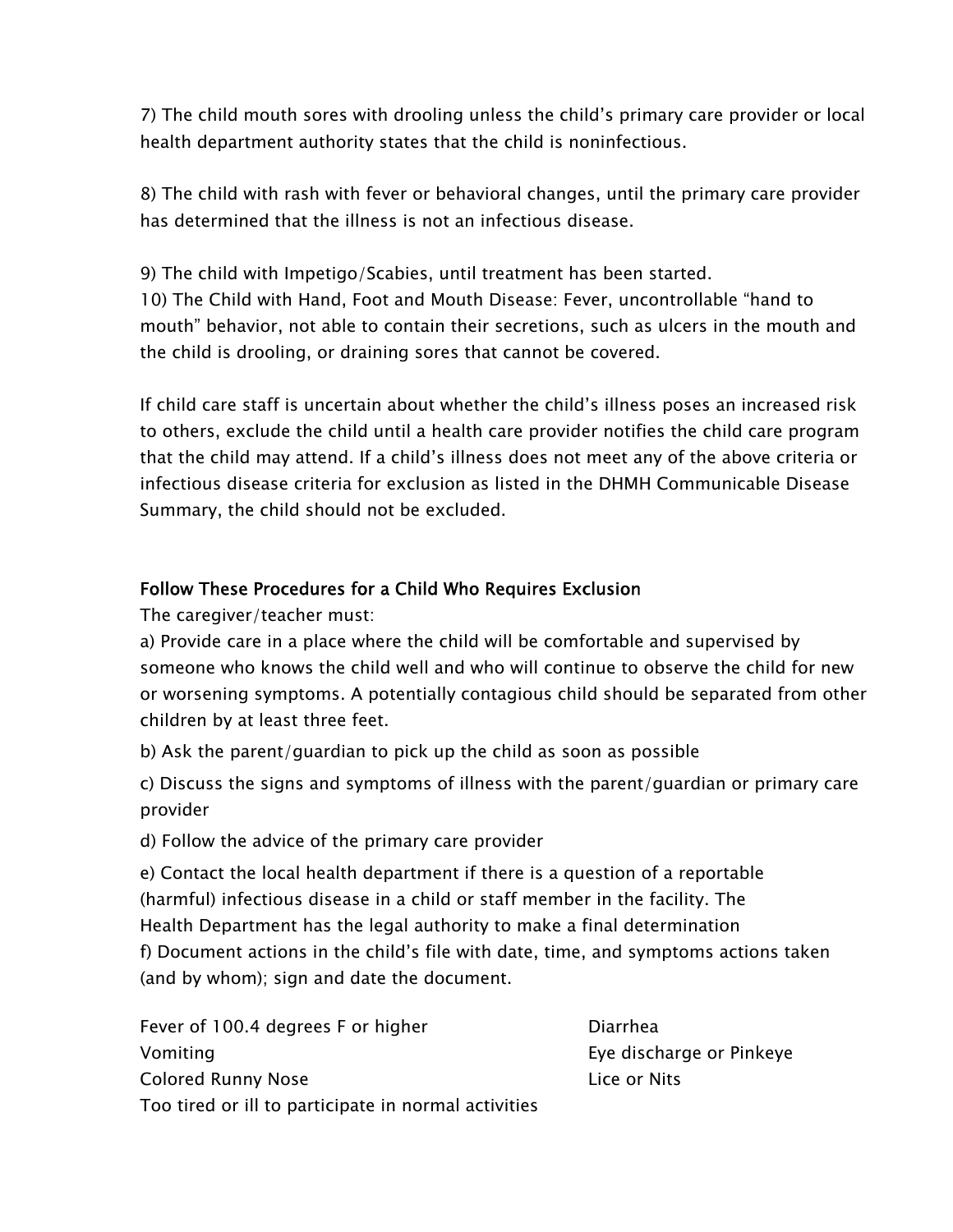7) The child mouth sores with drooling unless the child's primary care provider or local health department authority states that the child is noninfectious.

8) The child with rash with fever or behavioral changes, until the primary care provider has determined that the illness is not an infectious disease.

9) The child with Impetigo/Scabies, until treatment has been started.

10) The Child with Hand, Foot and Mouth Disease: Fever, uncontrollable "hand to mouth" behavior, not able to contain their secretions, such as ulcers in the mouth and the child is drooling, or draining sores that cannot be covered.

If child care staff is uncertain about whether the child's illness poses an increased risk to others, exclude the child until a health care provider notifies the child care program that the child may attend. If a child's illness does not meet any of the above criteria or infectious disease criteria for exclusion as listed in the DHMH Communicable Disease Summary, the child should not be excluded.

#### Follow These Procedures for a Child Who Requires Exclusion

The caregiver/teacher must:

a) Provide care in a place where the child will be comfortable and supervised by someone who knows the child well and who will continue to observe the child for new or worsening symptoms. A potentially contagious child should be separated from other children by at least three feet.

b) Ask the parent/guardian to pick up the child as soon as possible

c) Discuss the signs and symptoms of illness with the parent/guardian or primary care provider

d) Follow the advice of the primary care provider

e) Contact the local health department if there is a question of a reportable (harmful) infectious disease in a child or staff member in the facility. The Health Department has the legal authority to make a final determination f) Document actions in the child's file with date, time, and symptoms actions taken (and by whom); sign and date the document.

Fever of 100.4 degrees F or higher Diarrhea Vomiting Eye discharge or Pinkeye **Colored Runny Nose Lice or Nits** Too tired or ill to participate in normal activities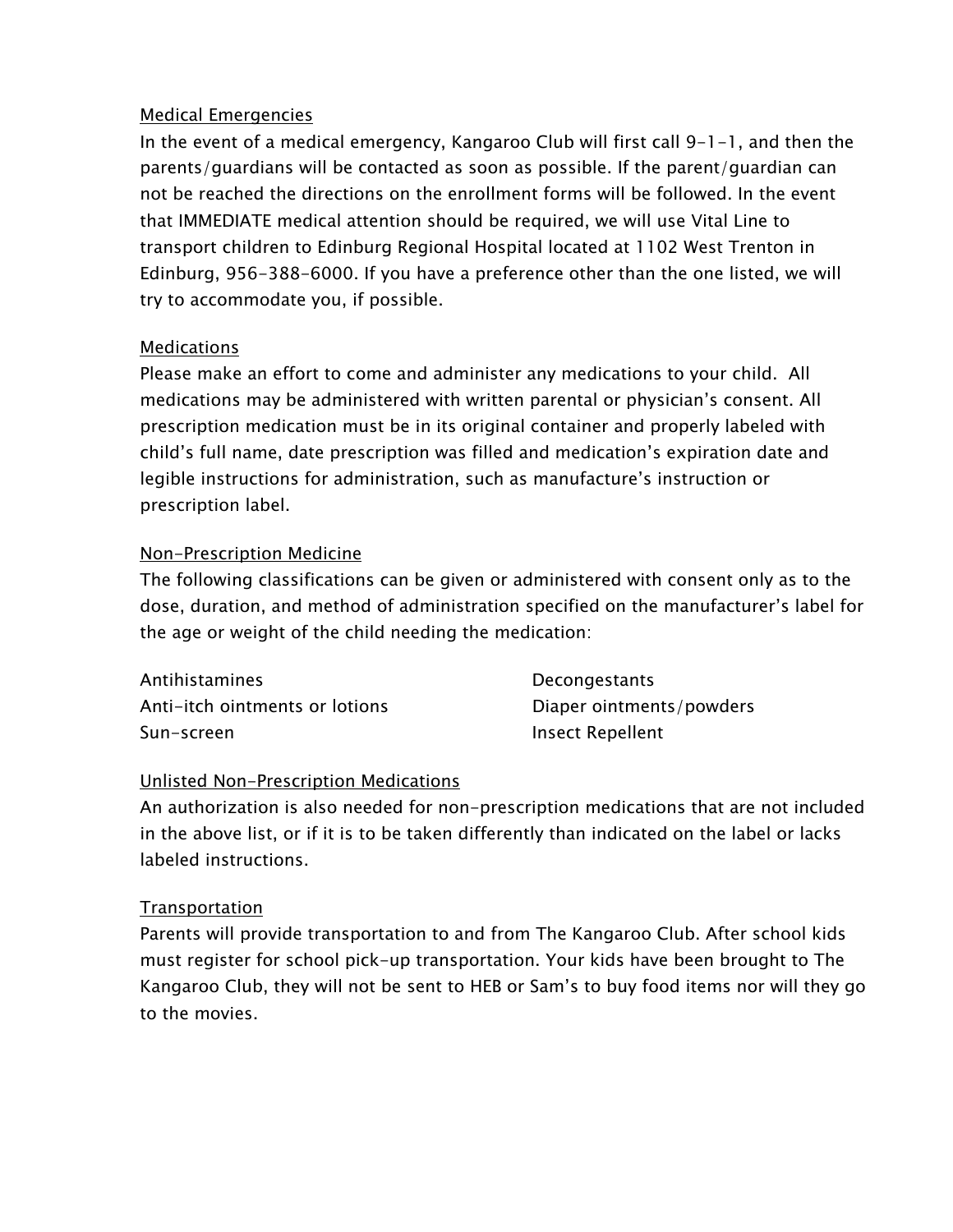#### Medical Emergencies

In the event of a medical emergency, Kangaroo Club will first call 9-1-1, and then the parents/guardians will be contacted as soon as possible. If the parent/guardian can not be reached the directions on the enrollment forms will be followed. In the event that IMMEDIATE medical attention should be required, we will use Vital Line to transport children to Edinburg Regional Hospital located at 1102 West Trenton in Edinburg, 956-388-6000. If you have a preference other than the one listed, we will try to accommodate you, if possible.

#### Medications

Please make an effort to come and administer any medications to your child. All medications may be administered with written parental or physician's consent. All prescription medication must be in its original container and properly labeled with child's full name, date prescription was filled and medication's expiration date and legible instructions for administration, such as manufacture's instruction or prescription label.

#### Non-Prescription Medicine

The following classifications can be given or administered with consent only as to the dose, duration, and method of administration specified on the manufacturer's label for the age or weight of the child needing the medication:

| Antihistamines                 | Decongestants            |
|--------------------------------|--------------------------|
| Anti-itch ointments or lotions | Diaper ointments/powders |
| Sun-screen                     | Insect Repellent         |

#### Unlisted Non-Prescription Medications

An authorization is also needed for non-prescription medications that are not included in the above list, or if it is to be taken differently than indicated on the label or lacks labeled instructions.

#### **Transportation**

Parents will provide transportation to and from The Kangaroo Club. After school kids must register for school pick-up transportation. Your kids have been brought to The Kangaroo Club, they will not be sent to HEB or Sam's to buy food items nor will they go to the movies.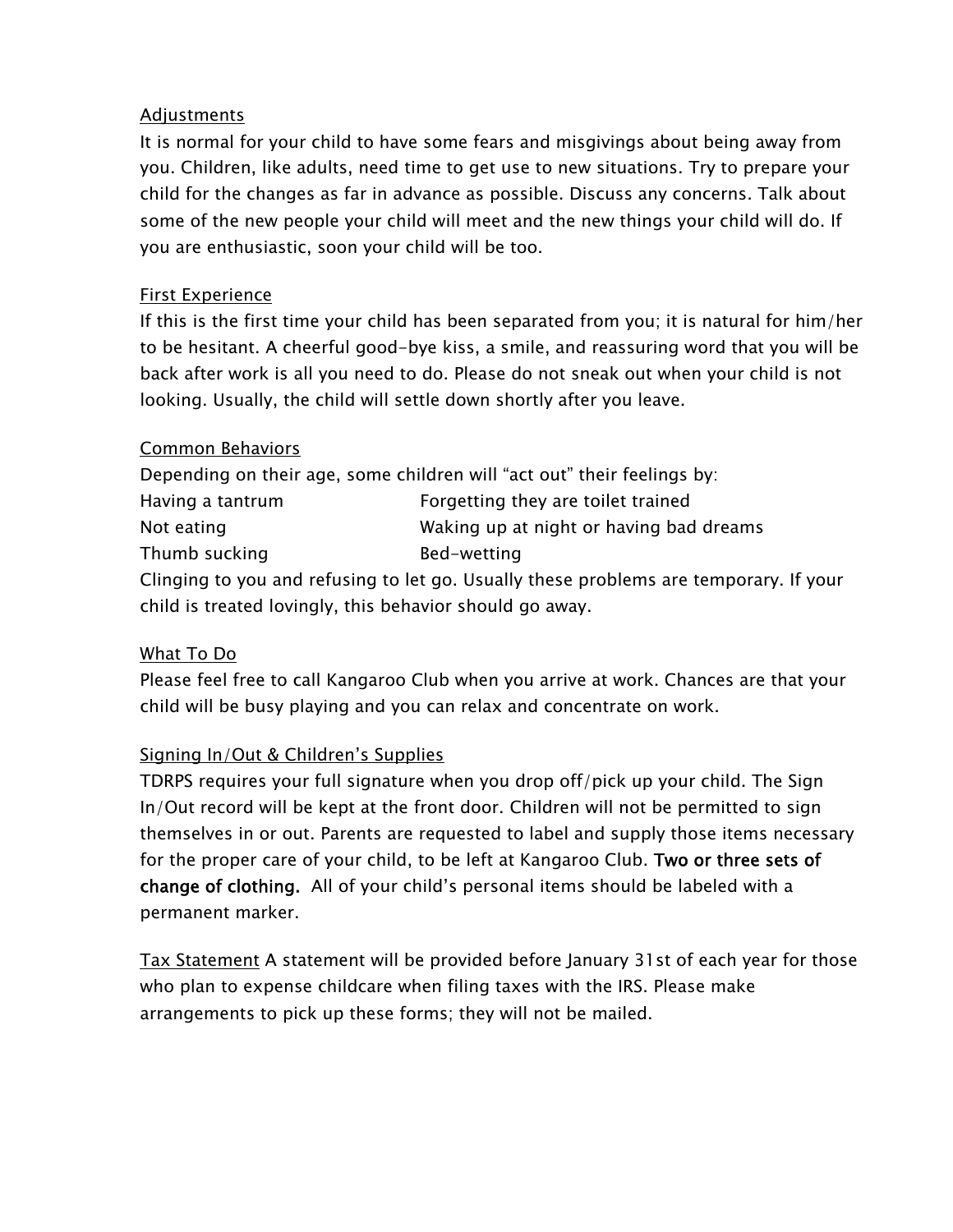#### Adjustments

It is normal for your child to have some fears and misgivings about being away from you. Children, like adults, need time to get use to new situations. Try to prepare your child for the changes as far in advance as possible. Discuss any concerns. Talk about some of the new people your child will meet and the new things your child will do. If you are enthusiastic, soon your child will be too.

#### First Experience

If this is the first time your child has been separated from you; it is natural for him/her to be hesitant. A cheerful good-bye kiss, a smile, and reassuring word that you will be back after work is all you need to do. Please do not sneak out when your child is not looking. Usually, the child will settle down shortly after you leave.

#### Common Behaviors

|                                                          | Depending on their age, some children will "act out" their feelings by:               |
|----------------------------------------------------------|---------------------------------------------------------------------------------------|
| Having a tantrum                                         | Forgetting they are toilet trained                                                    |
| Not eating                                               | Waking up at night or having bad dreams                                               |
| Thumb sucking                                            | Bed-wetting                                                                           |
|                                                          | Clinging to you and refusing to let go. Usually these problems are temporary. If your |
| child is treated lovingly, this behavior should go away. |                                                                                       |

#### What To Do

Please feel free to call Kangaroo Club when you arrive at work. Chances are that your child will be busy playing and you can relax and concentrate on work.

#### Signing In/Out & Children's Supplies

TDRPS requires your full signature when you drop off/pick up your child. The Sign In/Out record will be kept at the front door. Children will not be permitted to sign themselves in or out. Parents are requested to label and supply those items necessary for the proper care of your child, to be left at Kangaroo Club. Two or three sets of change of clothing. All of your child's personal items should be labeled with a permanent marker.

Tax Statement A statement will be provided before January 31st of each year for those who plan to expense childcare when filing taxes with the IRS. Please make arrangements to pick up these forms; they will not be mailed.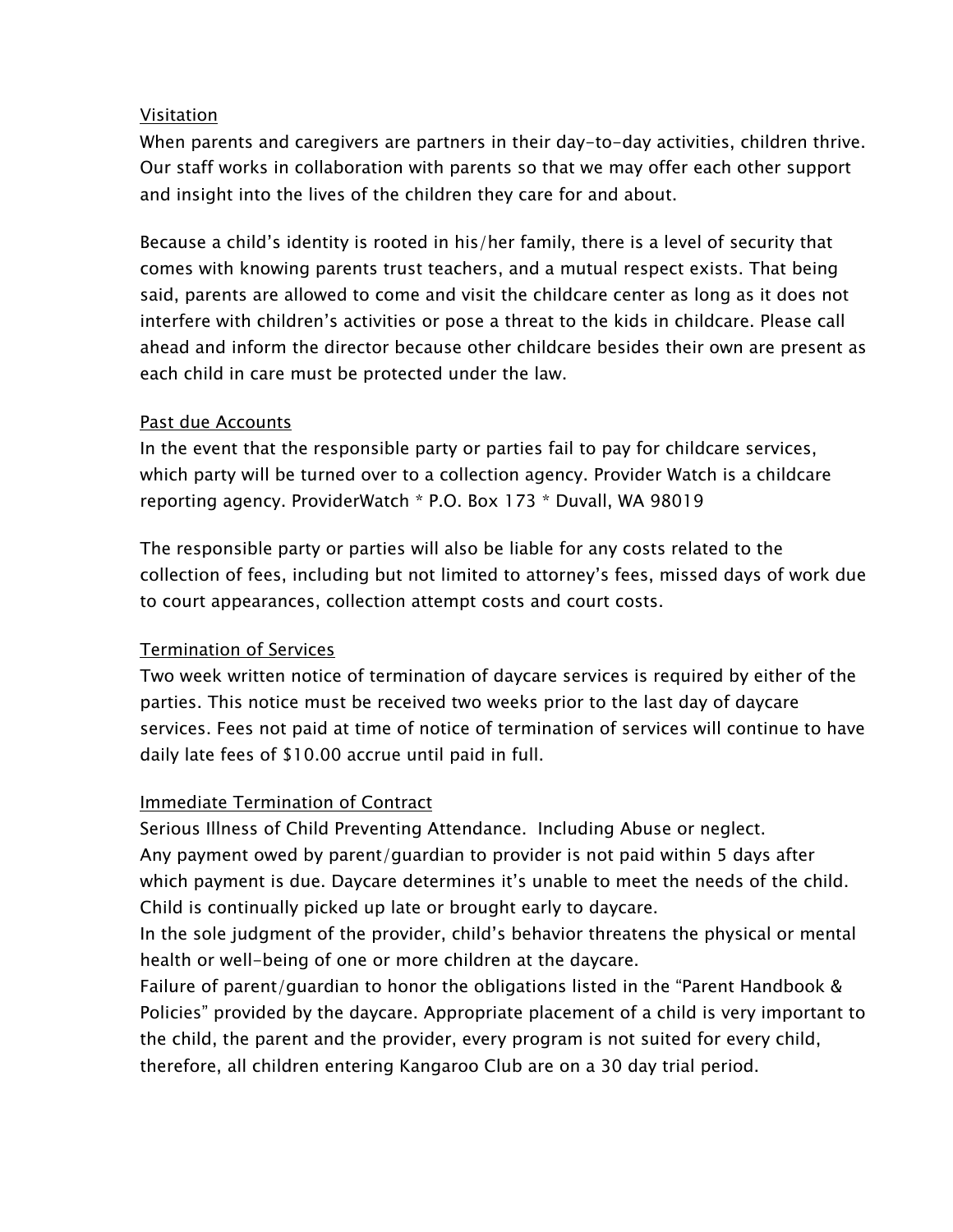#### Visitation

When parents and caregivers are partners in their day-to-day activities, children thrive. Our staff works in collaboration with parents so that we may offer each other support and insight into the lives of the children they care for and about.

Because a child's identity is rooted in his/her family, there is a level of security that comes with knowing parents trust teachers, and a mutual respect exists. That being said, parents are allowed to come and visit the childcare center as long as it does not interfere with children's activities or pose a threat to the kids in childcare. Please call ahead and inform the director because other childcare besides their own are present as each child in care must be protected under the law.

#### Past due Accounts

In the event that the responsible party or parties fail to pay for childcare services, which party will be turned over to a collection agency. Provider Watch is a childcare reporting agency. ProviderWatch \* P.O. Box 173 \* Duvall, WA 98019

The responsible party or parties will also be liable for any costs related to the collection of fees, including but not limited to attorney's fees, missed days of work due to court appearances, collection attempt costs and court costs.

#### Termination of Services

Two week written notice of termination of daycare services is required by either of the parties. This notice must be received two weeks prior to the last day of daycare services. Fees not paid at time of notice of termination of services will continue to have daily late fees of \$10.00 accrue until paid in full.

#### Immediate Termination of Contract

Serious Illness of Child Preventing Attendance. Including Abuse or neglect. Any payment owed by parent/guardian to provider is not paid within 5 days after which payment is due. Daycare determines it's unable to meet the needs of the child. Child is continually picked up late or brought early to daycare.

In the sole judgment of the provider, child's behavior threatens the physical or mental health or well-being of one or more children at the daycare.

Failure of parent/guardian to honor the obligations listed in the "Parent Handbook & Policies" provided by the daycare. Appropriate placement of a child is very important to the child, the parent and the provider, every program is not suited for every child, therefore, all children entering Kangaroo Club are on a 30 day trial period.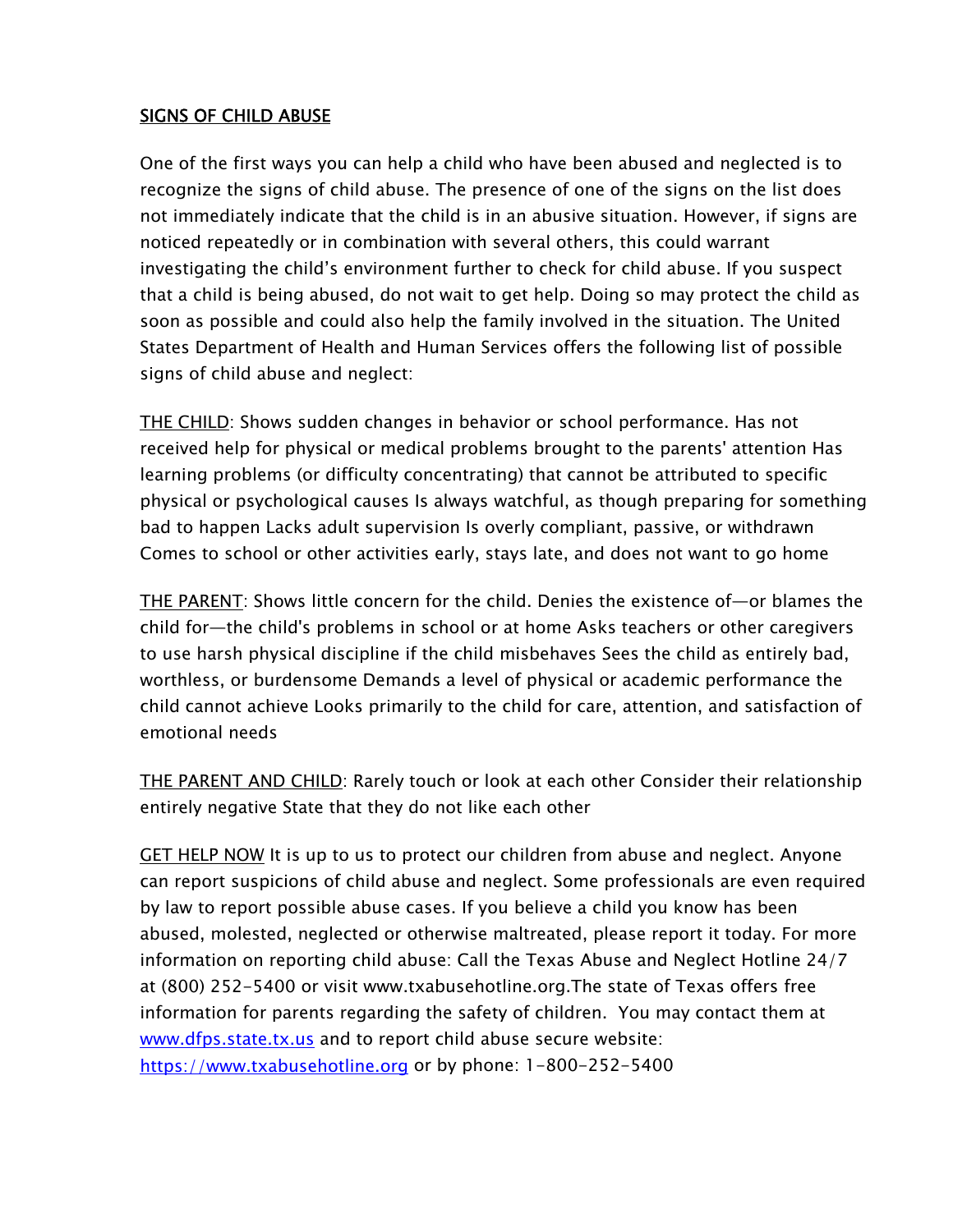#### SIGNS OF CHILD ABUSE

One of the first ways you can help a child who have been abused and neglected is to recognize the signs of child abuse. The presence of one of the signs on the list does not immediately indicate that the child is in an abusive situation. However, if signs are noticed repeatedly or in combination with several others, this could warrant investigating the child's environment further to check for child abuse. If you suspect that a child is being abused, do not wait to get help. Doing so may protect the child as soon as possible and could also help the family involved in the situation. The United States Department of Health and Human Services offers the following list of possible signs of child abuse and neglect:

THE CHILD: Shows sudden changes in behavior or school performance. Has not received help for physical or medical problems brought to the parents' attention Has learning problems (or difficulty concentrating) that cannot be attributed to specific physical or psychological causes Is always watchful, as though preparing for something bad to happen Lacks adult supervision Is overly compliant, passive, or withdrawn Comes to school or other activities early, stays late, and does not want to go home

THE PARENT: Shows little concern for the child. Denies the existence of—or blames the child for—the child's problems in school or at home Asks teachers or other caregivers to use harsh physical discipline if the child misbehaves Sees the child as entirely bad, worthless, or burdensome Demands a level of physical or academic performance the child cannot achieve Looks primarily to the child for care, attention, and satisfaction of emotional needs

THE PARENT AND CHILD: Rarely touch or look at each other Consider their relationship entirely negative State that they do not like each other

GET HELP NOW It is up to us to protect our children from abuse and neglect. Anyone can report suspicions of child abuse and neglect. Some professionals are even required by law to report possible abuse cases. If you believe a child you know has been abused, molested, neglected or otherwise maltreated, please report it today. For more information on reporting child abuse: Call the Texas Abuse and Neglect Hotline 24/7 at (800) 252-5400 or visit www.txabusehotline.org.The state of Texas offers free information for parents regarding the safety of children. You may contact them at www.dfps.state.tx.us and to report child abuse secure website: https://www.txabusehotline.org or by phone: 1-800-252-5400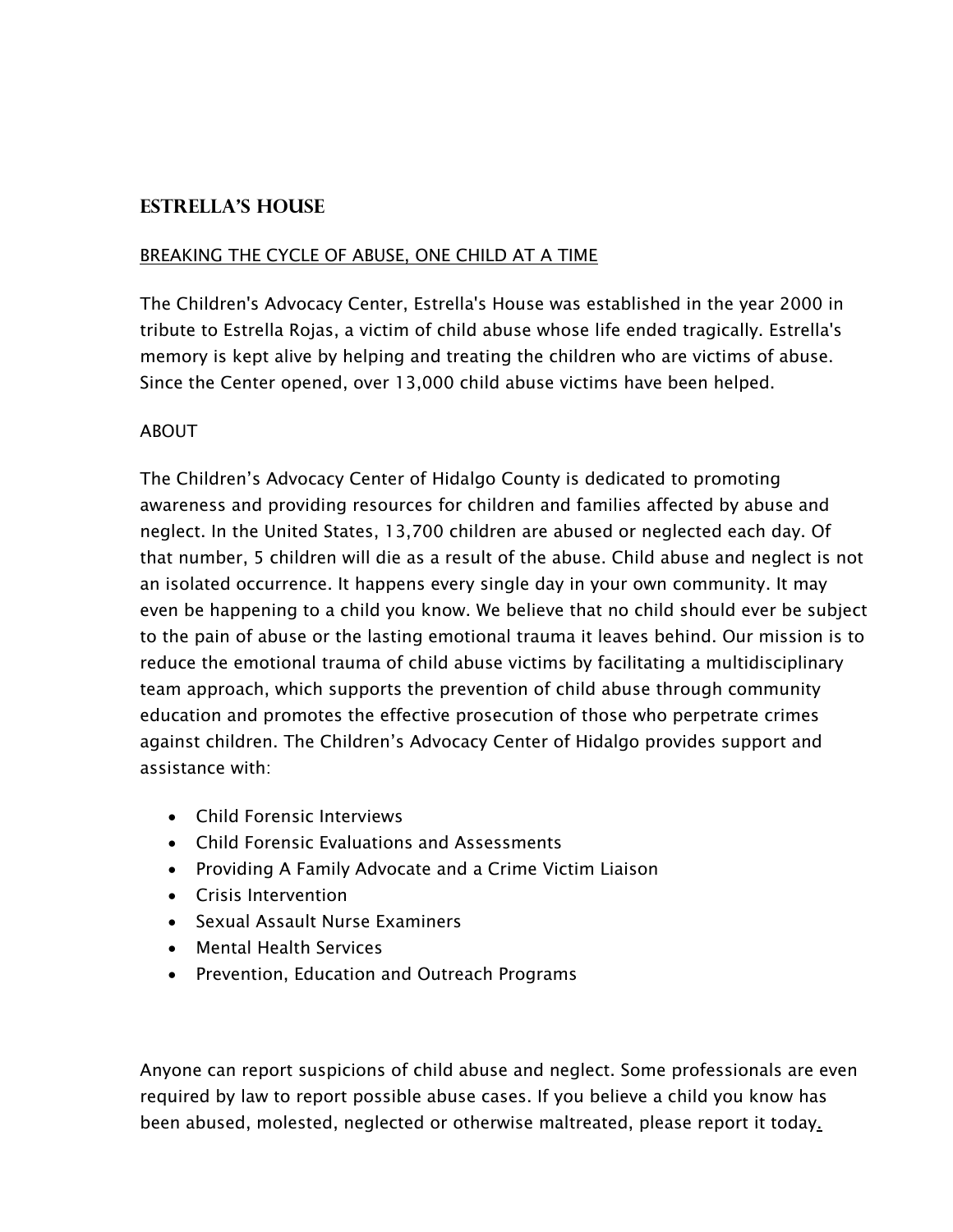#### **ESTRELLA'S HOUSE**

#### BREAKING THE CYCLE OF ABUSE, ONE CHILD AT A TIME

The Children's Advocacy Center, Estrella's House was established in the year 2000 in tribute to Estrella Rojas, a victim of child abuse whose life ended tragically. Estrella's memory is kept alive by helping and treating the children who are victims of abuse. Since the Center opened, over 13,000 child abuse victims have been helped.

#### ABOUT

The Children's Advocacy Center of Hidalgo County is dedicated to promoting awareness and providing resources for children and families affected by abuse and neglect. In the United States, 13,700 children are abused or neglected each day. Of that number, 5 children will die as a result of the abuse. Child abuse and neglect is not an isolated occurrence. It happens every single day in your own community. It may even be happening to a child you know. We believe that no child should ever be subject to the pain of abuse or the lasting emotional trauma it leaves behind. Our mission is to reduce the emotional trauma of child abuse victims by facilitating a multidisciplinary team approach, which supports the prevention of child abuse through community education and promotes the effective prosecution of those who perpetrate crimes against children. The Children's Advocacy Center of Hidalgo provides support and assistance with:

- Child Forensic Interviews
- Child Forensic Evaluations and Assessments
- Providing A Family Advocate and a Crime Victim Liaison
- Crisis Intervention
- Sexual Assault Nurse Examiners
- Mental Health Services
- Prevention, Education and Outreach Programs

Anyone can report suspicions of child abuse and neglect. Some professionals are even required by law to report possible abuse cases. If you believe a child you know has been abused, molested, neglected or otherwise maltreated, please report it today.